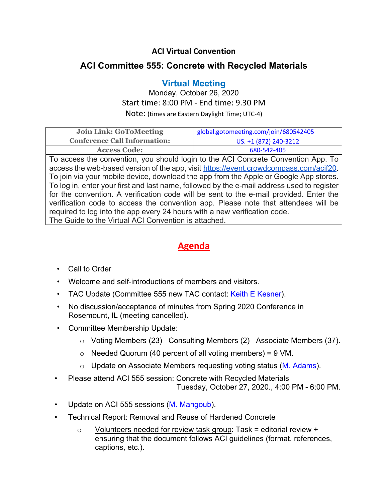## **ACI Virtual Convention**

## **ACI Committee 555: Concrete with Recycled Materials**

## **Virtual Meeting**

Monday, October 26, 2020 Start time: 8:00 PM - End time: 9.30 PM

Note: (times are Eastern Daylight Time; UTC-4)

| <b>Join Link: GoToMeeting</b>       | global.gotomeeting.com/join/680542405 |
|-------------------------------------|---------------------------------------|
| <b>Conference Call Information:</b> | US. +1 (872) 240-3212                 |
| <b>Access Code:</b>                 | 680-542-405                           |

To access the convention, you should login to the ACI Concrete Convention App. To access the web-based version of the app, visit https://event.crowdcompass.com/acif20. To join via your mobile device, download the app from the Apple or Google App stores. To log in, enter your first and last name, followed by the e-mail address used to register for the convention. A verification code will be sent to the e-mail provided. Enter the verification code to access the convention app. Please note that attendees will be required to log into the app every 24 hours with a new verification code. The Guide to the Virtual ACI Convention is attached.

## **Agenda**

- Call to Order
- Welcome and self-introductions of members and visitors.
- TAC Update (Committee 555 new TAC contact: Keith E Kesner).
- No discussion/acceptance of minutes from Spring 2020 Conference in Rosemount, IL (meeting cancelled).
- Committee Membership Update:
	- o Voting Members (23) Consulting Members (2) Associate Members (37).
	- $\circ$  Needed Quorum (40 percent of all voting members) = 9 VM.
	- $\circ$  Update on Associate Members requesting voting status (M. Adams).
- Please attend ACI 555 session: Concrete with Recycled Materials Tuesday, October 27, 2020., 4:00 PM - 6:00 PM.
- Update on ACI 555 sessions (M. Mahgoub).
- Technical Report: Removal and Reuse of Hardened Concrete
	- $\circ$  Volunteers needed for review task group: Task = editorial review + ensuring that the document follows ACI guidelines (format, references, captions, etc.).